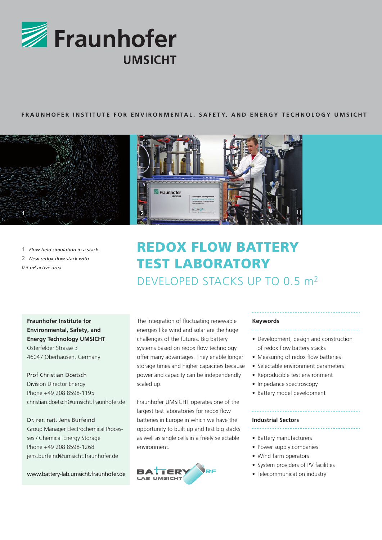

## **FRAUNHOFER INSTITUTE FOR ENVIRONMENTAL, SAFETY, AND ENERGY TECHNOLOGY UMSICHT**



**1** *Flow field simulation in a stack.* **2** *New redox flow stack with 0.5 m<sup>2</sup> active area.*



# REDOX FLOW BATTERY TEST LABORATORY DEVELOPED STACKS UP TO 0.5 m<sup>2</sup>

**Fraunhofer Institute for Environmental, Safety, and Energy Technology UMSICHT** Osterfelder Strasse 3 46047 Oberhausen, Germany

Prof Christian Doetsch Division Director Energy Phone +49 208 8598-1195 christian.doetsch@umsicht.fraunhofer.de

Dr. rer. nat. Jens Burfeind Group Manager Electrochemical Processes / Chemical Energy Storage Phone +49 208 8598-1268 jens.burfeind@umsicht.fraunhofer.de

www.battery-lab.umsicht.fraunhofer.de

The integration of fluctuating renewable energies like wind and solar are the huge challenges of the futures. Big battery systems based on redox flow technology offer many advantages. They enable longer storage times and higher capacities because power and capacity can be independendly scaled up.

Fraunhofer UMSICHT operates one of the largest test laboratories for redox flow batteries in Europe in which we have the opportunity to built up and test big stacks as well as single cells in a freely selectable environment.



#### **Keywords**

- Development, design and construction
- of redox flow battery stacks
- Measuring of redox flow batteries
- Selectable environment parameters
- Reproducible test environment
- Impedance spectroscopy
- Battery model development

#### **Industrial Sectors**

- Battery manufacturers
- Power supply companies
- Wind farm operators
- System providers of PV facilities
- Telecommunication industry